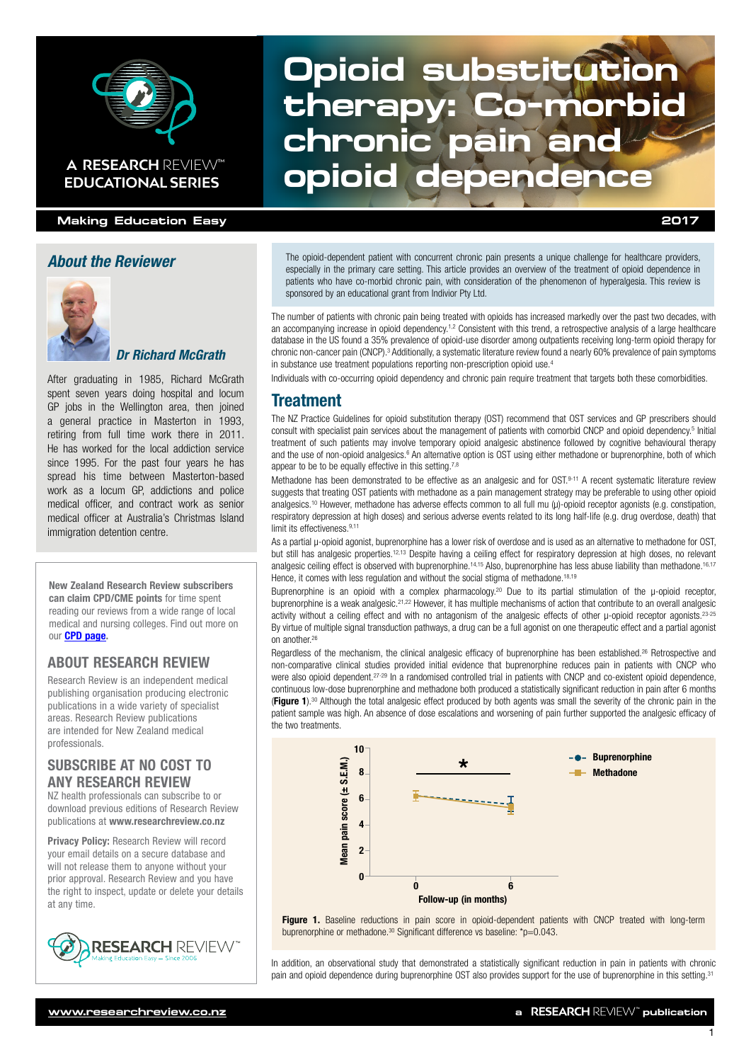

#### **Making Education Easy 2017**

#### *About the Reviewer*



#### *Dr Richard McGrath*

After graduating in 1985, Richard McGrath spent seven years doing hospital and locum GP jobs in the Wellington area, then joined a general practice in Masterton in 1993, retiring from full time work there in 2011. He has worked for the local addiction service since 1995. For the past four years he has spread his time between Masterton-based work as a locum GP, addictions and police medical officer, and contract work as senior medical officer at Australia's Christmas Island immigration detention centre.

New Zealand Research Review subscribers can claim CPD/CME points for time spent reading our reviews from a wide range of local medical and nursing colleges. Find out more on our [CPD page.](http://www.researchreview.co.nz/cpd?site=nz)

### ABOUT RESEARCH REVIEW

Research Review is an independent medical publishing organisation producing electronic publications in a wide variety of specialist areas. Research Review publications are intended for New Zealand medical professionals.

#### SUBSCRIBE AT NO COST TO ANY RESEARCH REVIEW

NZ health professionals can subscribe to or download previous editions of Research Review publications at [www.researchreview.co.nz](http://www.researchreview.co.nz)

Privacy Policy: [Research Review will record](http://www.researchreview.co.nz)  [your email details on a secure database and](http://www.researchreview.co.nz)  [will not release them to anyone without your](http://www.researchreview.co.nz)  [prior approval. Research Review and you have](http://www.researchreview.co.nz)  [the right to inspect, update or delete your details](http://www.researchreview.co.nz)  [at any time.](http://www.researchreview.co.nz)



# **Opioid substitution therapy: Co-morbid chronic pain and A RESEARCH REVIEW™ Opioid dependence**

The opioid-dependent patient with concurrent chronic pain presents a unique challenge for healthcare providers, especially in the primary care setting. This article provides an overview of the treatment of opioid dependence in patients who have co-morbid chronic pain, with consideration of the phenomenon of hyperalgesia. This review is sponsored by an educational grant from Indivior Pty Ltd.

The number of patients with chronic pain being treated with opioids has increased markedly over the past two decades, with an accompanying increase in opioid dependency.<sup>1,2</sup> Consistent with this trend, a retrospective analysis of a large healthcare database in the US found a 35% prevalence of opioid-use disorder among outpatients receiving long-term opioid therapy for chronic non-cancer pain (CNCP).<sup>3</sup> Additionally, a systematic literature review found a nearly 60% prevalence of pain symptoms in substance use treatment populations reporting non-prescription opioid use.4

Individuals with co-occurring opioid dependency and chronic pain require treatment that targets both these comorbidities.

#### Treatment

The NZ Practice Guidelines for opioid substitution therapy (OST) recommend that OST services and GP prescribers should consult with specialist pain services about the management of patients with comorbid CNCP and opioid dependency.<sup>5</sup> Initial treatment of such patients may involve temporary opioid analgesic abstinence followed by cognitive behavioural therapy and the use of non-opioid analgesics.<sup>6</sup> An alternative option is OST using either methadone or buprenorphine, both of which appear to be to be equally effective in this setting.<sup>7,8</sup>

Methadone has been demonstrated to be effective as an analgesic and for OST.9-11 A recent systematic literature review suggests that treating OST patients with methadone as a pain management strategy may be preferable to using other opioid analgesics.<sup>10</sup> However, methadone has adverse effects common to all full mu (µ)-opioid receptor agonists (e.g. constipation, respiratory depression at high doses) and serious adverse events related to its long half-life (e.g. drug overdose, death) that limit its effectiveness.<sup>9,11</sup>

As a partial µ-opioid agonist, buprenorphine has a lower risk of overdose and is used as an alternative to methadone for OST, but still has analgesic properties.<sup>12,13</sup> Despite having a ceiling effect for respiratory depression at high doses, no relevant analgesic ceiling effect is observed with buprenorphine.<sup>14,15</sup> Also, buprenorphine has less abuse liability than methadone.<sup>16,17</sup> Hence, it comes with less regulation and without the social stigma of methadone.<sup>18,19</sup>

Buprenorphine is an opioid with a complex pharmacology.<sup>20</sup> Due to its partial stimulation of the µ-opioid receptor, buprenorphine is a weak analgesic.<sup>21,22</sup> However, it has multiple mechanisms of action that contribute to an overall analgesic activity without a ceiling effect and with no antagonism of the analgesic effects of other u-opioid receptor agonists.<sup>23-25</sup> By virtue of multiple signal transduction pathways, a drug can be a full agonist on one therapeutic effect and a partial agonist on another.26

Regardless of the mechanism, the clinical analgesic efficacy of buprenorphine has been established.<sup>26</sup> Retrospective and non-comparative clinical studies provided initial evidence that buprenorphine reduces pain in patients with CNCP who were also opioid dependent.<sup>27-29</sup> In a randomised controlled trial in patients with CNCP and co-existent opioid dependence, continuous low-dose buprenorphine and methadone both produced a statistically significant reduction in pain after 6 months **(Figure 1)**.<sup>30</sup> Although the total analgesic effect produced by both agents was small the severity of the chronic pain in the patient sample was high. An absence of dose escalations and worsening of pain further supported the analgesic efficacy of the two treatments.



Figure 1. Baseline reductions in pain score in opioid-dependent patients with CNCP treated with long-term buprenorphine or methadone.<sup>30</sup> Significant difference vs baseline: \*p=0.043.

In addition, an observational study that demonstrated a statistically significant reduction in pain in patients with chronic pain and opioid dependence during buprenorphine OST also provides support for the use of buprenorphine in this setting.31

1